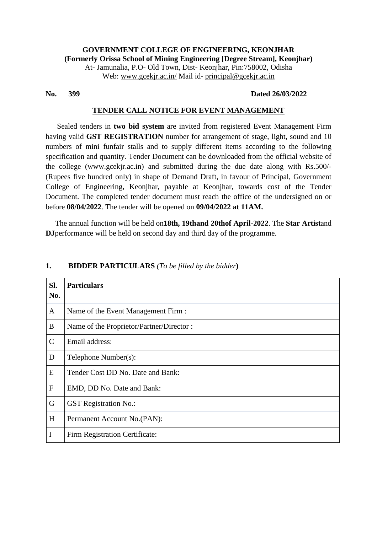**GOVERNMENT COLLEGE OF ENGINEERING, KEONJHAR (Formerly Orissa School of Mining Engineering [Degree Stream], Keonjhar)** At- Jamunalia, P.O- Old Town, Dist- Keonjhar, Pin:758002, Odisha Web: [www.gcekjr.ac.in/](http://www.gcekjr.ac.in/) Mail id- [principal@gcekjr.ac.in](mailto:principal@gcekjr.ac.in)

## **No. 399 Dated 26/03/2022**

## **TENDER CALL NOTICE FOR EVENT MANAGEMENT**

 Sealed tenders in **two bid system** are invited from registered Event Management Firm having valid **GST REGISTRATION** number for arrangement of stage, light, sound and 10 numbers of mini funfair stalls and to supply different items according to the following specification and quantity. Tender Document can be downloaded from the official website of the college (www.gcekjr.ac.in) and submitted during the due date along with Rs.500/- (Rupees five hundred only) in shape of Demand Draft, in favour of Principal, Government College of Engineering, Keonjhar, payable at Keonjhar, towards cost of the Tender Document. The completed tender document must reach the office of the undersigned on or before **08/04/2022**. The tender will be opened on **09/04/2022 at 11AM.**

 The annual function will be held on**18th, 19thand 20thof April-2022**. The **Star Artist**and **DJ**performance will be held on second day and third day of the programme.

| SI.<br>No.    | <b>Particulars</b>                       |
|---------------|------------------------------------------|
| $\mathbf{A}$  | Name of the Event Management Firm :      |
| $\bf{B}$      | Name of the Proprietor/Partner/Director: |
| $\mathcal{C}$ | Email address:                           |
| D             | Telephone Number(s):                     |
| E             | Tender Cost DD No. Date and Bank:        |
| $\mathbf{F}$  | EMD, DD No. Date and Bank:               |
| $\mathbf G$   | <b>GST</b> Registration No.:             |
| H             | Permanent Account No.(PAN):              |
| I             | Firm Registration Certificate:           |

#### **1. BIDDER PARTICULARS** *(To be filled by the bidder***)**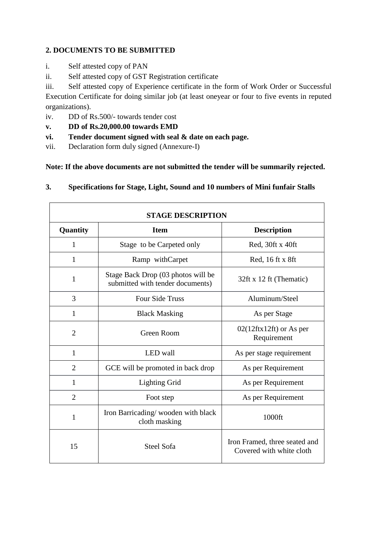# **2. DOCUMENTS TO BE SUBMITTED**

- i. Self attested copy of PAN
- ii. Self attested copy of GST Registration certificate
- iii. Self attested copy of Experience certificate in the form of Work Order or Successful

Execution Certificate for doing similar job (at least oneyear or four to five events in reputed organizations).

- iv. DD of Rs.500/- towards tender cost
- **v. DD of Rs.20,000.00 towards EMD**
- **vi. Tender document signed with seal & date on each page.**
- vii. Declaration form duly signed (Annexure-I)

**Note: If the above documents are not submitted the tender will be summarily rejected.**

| Specifications for Stage, Light, Sound and 10 numbers of Mini funfair Stalls | 3. |  |  |  |  |
|------------------------------------------------------------------------------|----|--|--|--|--|
|------------------------------------------------------------------------------|----|--|--|--|--|

| <b>STAGE DESCRIPTION</b> |                                                                        |                                                           |  |  |  |
|--------------------------|------------------------------------------------------------------------|-----------------------------------------------------------|--|--|--|
| Quantity                 | <b>Item</b>                                                            | <b>Description</b>                                        |  |  |  |
| 1                        | Stage to be Carpeted only                                              | Red, 30ft x 40ft                                          |  |  |  |
| 1                        | Ramp withCarpet                                                        | Red, 16 ft x 8ft                                          |  |  |  |
| 1                        | Stage Back Drop (03 photos will be<br>submitted with tender documents) | 32ft x 12 ft (Thematic)                                   |  |  |  |
| 3                        | <b>Four Side Truss</b>                                                 | Aluminum/Steel                                            |  |  |  |
| 1                        | <b>Black Masking</b>                                                   | As per Stage                                              |  |  |  |
| $\overline{2}$           | <b>Green Room</b>                                                      | $02(12 \text{ftx} 12 \text{ft})$ or As per<br>Requirement |  |  |  |
| $\mathbf{1}$             | <b>LED</b> wall                                                        | As per stage requirement                                  |  |  |  |
| $\overline{2}$           | GCE will be promoted in back drop                                      | As per Requirement                                        |  |  |  |
| 1                        | <b>Lighting Grid</b>                                                   | As per Requirement                                        |  |  |  |
| $\overline{2}$           | Foot step                                                              | As per Requirement                                        |  |  |  |
| 1                        | Iron Barricading/wooden with black<br>cloth masking                    | 1000ft                                                    |  |  |  |
| 15                       | <b>Steel Sofa</b>                                                      | Iron Framed, three seated and<br>Covered with white cloth |  |  |  |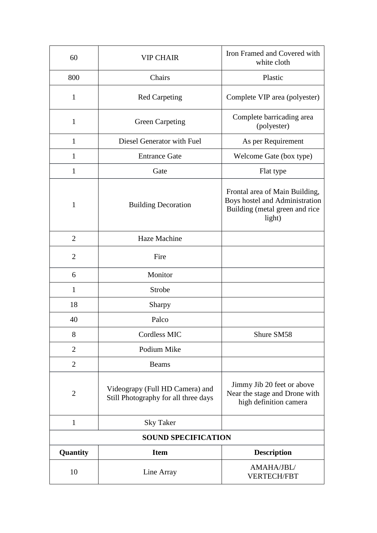| 60                              | <b>VIP CHAIR</b>                                                        | Iron Framed and Covered with<br>white cloth                                                                  |
|---------------------------------|-------------------------------------------------------------------------|--------------------------------------------------------------------------------------------------------------|
| 800                             | Chairs                                                                  | Plastic                                                                                                      |
| 1                               | <b>Red Carpeting</b>                                                    | Complete VIP area (polyester)                                                                                |
| $\mathbf{1}$                    | <b>Green Carpeting</b>                                                  | Complete barricading area<br>(polyester)                                                                     |
| $\mathbf{1}$                    | Diesel Generator with Fuel                                              | As per Requirement                                                                                           |
| 1                               | <b>Entrance Gate</b>                                                    | Welcome Gate (box type)                                                                                      |
| $\mathbf{1}$                    | Gate                                                                    | Flat type                                                                                                    |
| 1<br><b>Building Decoration</b> |                                                                         | Frontal area of Main Building,<br>Boys hostel and Administration<br>Building (metal green and rice<br>light) |
| $\overline{2}$                  | Haze Machine                                                            |                                                                                                              |
| $\overline{2}$                  | Fire                                                                    |                                                                                                              |
| 6                               | Monitor                                                                 |                                                                                                              |
| $\mathbf{1}$                    | Strobe                                                                  |                                                                                                              |
| 18                              | <b>Sharpy</b>                                                           |                                                                                                              |
| 40                              | Palco                                                                   |                                                                                                              |
| 8                               | Cordless MIC                                                            | Shure SM58                                                                                                   |
| $\overline{2}$                  | Podium Mike                                                             |                                                                                                              |
| $\overline{2}$                  | <b>Beams</b>                                                            |                                                                                                              |
| $\overline{2}$                  | Videograpy (Full HD Camera) and<br>Still Photography for all three days | Jimmy Jib 20 feet or above<br>Near the stage and Drone with<br>high definition camera                        |
| $\mathbf{1}$                    | <b>Sky Taker</b>                                                        |                                                                                                              |
|                                 | <b>SOUND SPECIFICATION</b>                                              |                                                                                                              |
| Quantity                        | <b>Item</b>                                                             | <b>Description</b>                                                                                           |
| 10                              | Line Array                                                              | AMAHA/JBL/<br><b>VERTECH/FBT</b>                                                                             |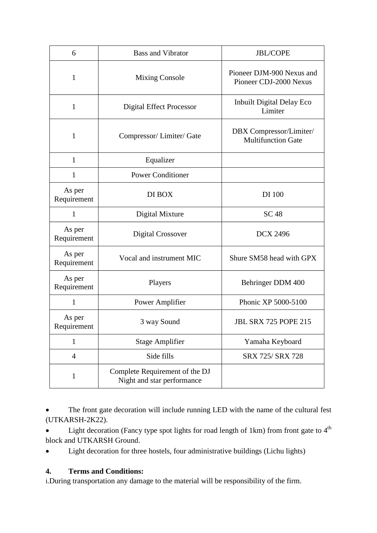| 6                     | <b>Bass and Vibrator</b>                                     | <b>JBL/COPE</b>                                      |
|-----------------------|--------------------------------------------------------------|------------------------------------------------------|
| 1                     | <b>Mixing Console</b>                                        | Pioneer DJM-900 Nexus and<br>Pioneer CDJ-2000 Nexus  |
| $\mathbf{1}$          | <b>Digital Effect Processor</b>                              | Inbuilt Digital Delay Eco<br>Limiter                 |
| 1                     | Compressor/Limiter/Gate                                      | DBX Compressor/Limiter/<br><b>Multifunction Gate</b> |
| $\mathbf{1}$          | Equalizer                                                    |                                                      |
| $\mathbf{1}$          | <b>Power Conditioner</b>                                     |                                                      |
| As per<br>Requirement | DI BOX                                                       | DI 100                                               |
| $\mathbf{1}$          | Digital Mixture                                              | <b>SC 48</b>                                         |
| As per<br>Requirement | <b>Digital Crossover</b>                                     | <b>DCX 2496</b>                                      |
| As per<br>Requirement | Vocal and instrument MIC                                     | Shure SM58 head with GPX                             |
| As per<br>Requirement | Players                                                      | Behringer DDM 400                                    |
| $\mathbf{1}$          | Power Amplifier                                              | Phonic XP 5000-5100                                  |
| As per<br>Requirement | 3 way Sound                                                  | <b>JBL SRX 725 POPE 215</b>                          |
| 1                     | <b>Stage Amplifier</b>                                       | Yamaha Keyboard                                      |
| $\overline{4}$        | Side fills                                                   | SRX 725/ SRX 728                                     |
| 1                     | Complete Requirement of the DJ<br>Night and star performance |                                                      |

 The front gate decoration will include running LED with the name of the cultural fest (UTKARSH-2K22).

• Light decoration (Fancy type spot lights for road length of 1km) from front gate to  $4<sup>th</sup>$ block and UTKARSH Ground.

Light decoration for three hostels, four administrative buildings (Lichu lights)

# **4. Terms and Conditions:**

i.During transportation any damage to the material will be responsibility of the firm.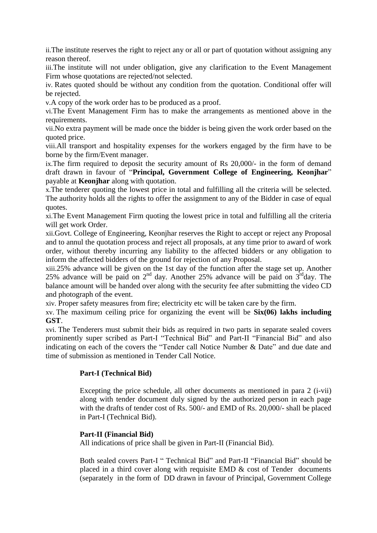ii.The institute reserves the right to reject any or all or part of quotation without assigning any reason thereof.

iii.The institute will not under obligation, give any clarification to the Event Management Firm whose quotations are rejected/not selected.

iv. Rates quoted should be without any condition from the quotation. Conditional offer will be rejected.

v.A copy of the work order has to be produced as a proof.

vi.The Event Management Firm has to make the arrangements as mentioned above in the requirements.

vii.No extra payment will be made once the bidder is being given the work order based on the quoted price.

viii.All transport and hospitality expenses for the workers engaged by the firm have to be borne by the firm/Event manager.

ix.The firm required to deposit the security amount of Rs 20,000/- in the form of demand draft drawn in favour of "**Principal, Government College of Engineering, Keonjhar**" payable at **Keonjhar** along with quotation.

x.The tenderer quoting the lowest price in total and fulfilling all the criteria will be selected. The authority holds all the rights to offer the assignment to any of the Bidder in case of equal quotes.

xi.The Event Management Firm quoting the lowest price in total and fulfilling all the criteria will get work Order.

xii.Govt. College of Engineering, Keonjhar reserves the Right to accept or reject any Proposal and to annul the quotation process and reject all proposals, at any time prior to award of work order, without thereby incurring any liability to the affected bidders or any obligation to inform the affected bidders of the ground for rejection of any Proposal.

xiii.25% advance will be given on the 1st day of the function after the stage set up. Another 25% advance will be paid on  $2^{nd}$  day. Another 25% advance will be paid on  $3^{rd}$ day. The balance amount will be handed over along with the security fee after submitting the video CD and photograph of the event.

xiv. Proper safety measures from fire; electricity etc will be taken care by the firm.

xv. The maximum ceiling price for organizing the event will be **Six(06) lakhs including GST**.

xvi. The Tenderers must submit their bids as required in two parts in separate sealed covers prominently super scribed as Part-I "Technical Bid" and Part-II "Financial Bid" and also indicating on each of the covers the "Tender call Notice Number & Date" and due date and time of submission as mentioned in Tender Call Notice.

# **Part-I (Technical Bid)**

Excepting the price schedule, all other documents as mentioned in para 2 (i-vii) along with tender document duly signed by the authorized person in each page with the drafts of tender cost of Rs. 500/- and EMD of Rs. 20,000/- shall be placed in Part-I (Technical Bid).

# **Part-II (Financial Bid)**

All indications of price shall be given in Part-II (Financial Bid).

Both sealed covers Part-I " Technical Bid" and Part-II "Financial Bid" should be placed in a third cover along with requisite EMD & cost of Tender documents (separately in the form of DD drawn in favour of Principal, Government College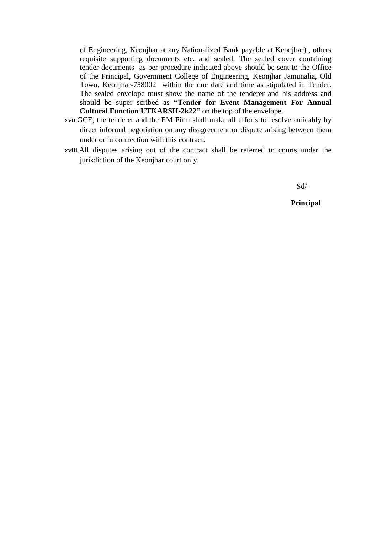of Engineering, Keonjhar at any Nationalized Bank payable at Keonjhar) , others requisite supporting documents etc. and sealed. The sealed cover containing tender documents as per procedure indicated above should be sent to the Office of the Principal, Government College of Engineering, Keonjhar Jamunalia, Old Town, Keonjhar-758002 within the due date and time as stipulated in Tender. The sealed envelope must show the name of the tenderer and his address and should be super scribed as **"Tender for Event Management For Annual Cultural Function UTKARSH-2k22"** on the top of the envelope.

- xvii.GCE, the tenderer and the EM Firm shall make all efforts to resolve amicably by direct informal negotiation on any disagreement or dispute arising between them under or in connection with this contract.
- xviii.All disputes arising out of the contract shall be referred to courts under the jurisdiction of the Keonjhar court only.

Sd/-

 **Principal**